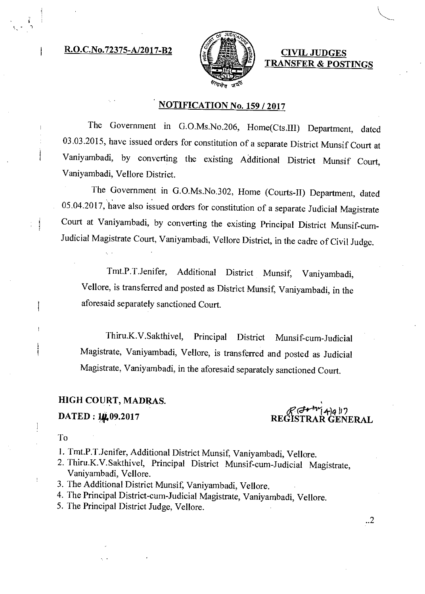## $R.O.C.No.72375-A/2017-B2$   $s \notin \mathbb{R} \$  is  $\text{CIVIL JUDGES}$



TRANSFER & POSTINGS

## NOTIFICATION No. 159 / 2017

The Government in G.O.Ms.No.206, Home(Cts.III) Department, dated 03.03.2015, have issued orders for constitution of a separate District Munsif Court at Vaniyambadi, by converting the existing Additional District Munsif Court, Vaniyambadi, Vellore District.

The Government in G.O.Ms.No.302, Home (Courts-II) Department, dated 05.04.2017, have also issued orders for constitution of a separate Judicial Magistrate Court at Vaniyambadi, by converting the existing Principal District Munsif-cum-Judicial Magistrate Court, Vaniyambadi, Vellore District, in the cadre of Civil Judge.

Tmt.P.T.Jenifer, Additional District Munsif, Vaniyambadi, Vellore, is transferred and posted as District Munsif, Vaniyambadi, in the aforesaid separately sanctioned Court.

Thiru.K.V.Sakthivel, Principal District Munsif-cum-Judicial Magistrate, Vaniyambadi, Vellore, is transferred and posted as Judicial Magistrate, Vaniyambadi, in the aforesaid separately sanctioned Court.

## HIGH COURT, MADRAS.

DATED: 10,09.2017

TRAR GENERAL

To

 $\cdot$ 

1. Tmt.P.T.Jenifer, Additional District Munsif, Vaniyambadi, Vellore.

- 2. Thiru.K.V.Sakthivel, Principal District Munsif-cum-Judicial Magistrate, Vaniyambadi, Vellore.
- 3. The Additional District Munsif, Vaniyambadi, Vellore.
- 4. The Principal District-cum-Judicial Magistrate, Vaniyambadi, Vellore.
- 5. The Principal District Judge, Vellore.

 $\cdot$ .2